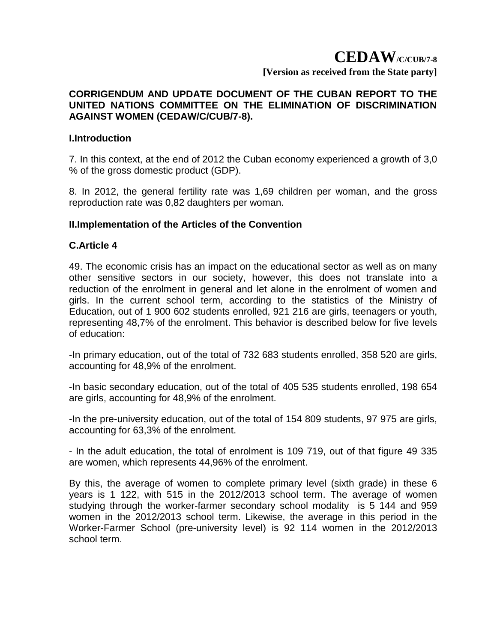#### **CORRIGENDUM AND UPDATE DOCUMENT OF THE CUBAN REPORT TO THE UNITED NATIONS COMMITTEE ON THE ELIMINATION OF DISCRIMINATION AGAINST WOMEN (CEDAW/C/CUB/7-8).**

#### **I.Introduction**

7. In this context, at the end of 2012 the Cuban economy experienced a growth of 3,0 % of the gross domestic product (GDP).

8. In 2012, the general fertility rate was 1,69 children per woman, and the gross reproduction rate was 0,82 daughters per woman.

### **II.Implementation of the Articles of the Convention**

#### **C.Article 4**

49. The economic crisis has an impact on the educational sector as well as on many other sensitive sectors in our society, however, this does not translate into a reduction of the enrolment in general and let alone in the enrolment of women and girls. In the current school term, according to the statistics of the Ministry of Education, out of 1 900 602 students enrolled, 921 216 are girls, teenagers or youth, representing 48,7% of the enrolment. This behavior is described below for five levels of education:

-In primary education, out of the total of 732 683 students enrolled, 358 520 are girls, accounting for 48,9% of the enrolment.

-In basic secondary education, out of the total of 405 535 students enrolled, 198 654 are girls, accounting for 48,9% of the enrolment.

-In the pre-university education, out of the total of 154 809 students, 97 975 are girls, accounting for 63,3% of the enrolment.

- In the adult education, the total of enrolment is 109 719, out of that figure 49 335 are women, which represents 44,96% of the enrolment.

By this, the average of women to complete primary level (sixth grade) in these 6 years is 1 122, with 515 in the 2012/2013 school term. The average of women studying through the worker-farmer secondary school modality is 5 144 and 959 women in the 2012/2013 school term. Likewise, the average in this period in the Worker-Farmer School (pre-university level) is 92 114 women in the 2012/2013 school term.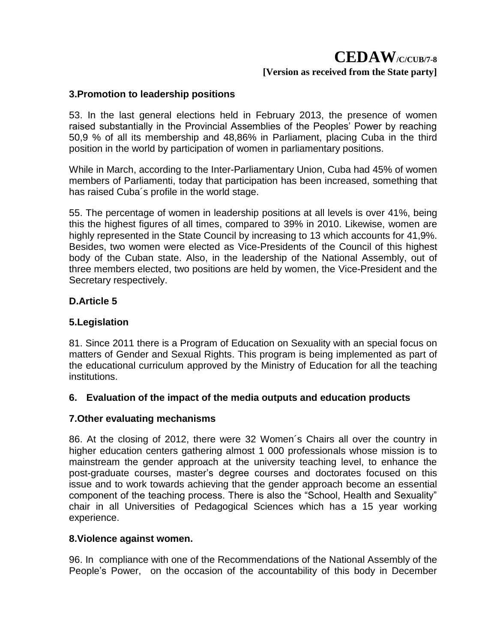### **3.Promotion to leadership positions**

53. In the last general elections held in February 2013, the presence of women raised substantially in the Provincial Assemblies of the Peoples' Power by reaching 50,9 % of all its membership and 48,86% in Parliament, placing Cuba in the third position in the world by participation of women in parliamentary positions.

While in March, according to the Inter-Parliamentary Union, Cuba had 45% of women members of Parliamenti, today that participation has been increased, something that has raised Cuba´s profile in the world stage.

55. The percentage of women in leadership positions at all levels is over 41%, being this the highest figures of all times, compared to 39% in 2010. Likewise, women are highly represented in the State Council by increasing to 13 which accounts for 41,9%. Besides, two women were elected as Vice-Presidents of the Council of this highest body of the Cuban state. Also, in the leadership of the National Assembly, out of three members elected, two positions are held by women, the Vice-President and the Secretary respectively.

### **D.Article 5**

### **5.Legislation**

81. Since 2011 there is a Program of Education on Sexuality with an special focus on matters of Gender and Sexual Rights. This program is being implemented as part of the educational curriculum approved by the Ministry of Education for all the teaching institutions.

### **6. Evaluation of the impact of the media outputs and education products**

### **7.Other evaluating mechanisms**

86. At the closing of 2012, there were 32 Women´s Chairs all over the country in higher education centers gathering almost 1 000 professionals whose mission is to mainstream the gender approach at the university teaching level, to enhance the post-graduate courses, master's degree courses and doctorates focused on this issue and to work towards achieving that the gender approach become an essential component of the teaching process. There is also the "School, Health and Sexuality" chair in all Universities of Pedagogical Sciences which has a 15 year working experience.

### **8.Violence against women.**

96. In compliance with one of the Recommendations of the National Assembly of the People's Power, on the occasion of the accountability of this body in December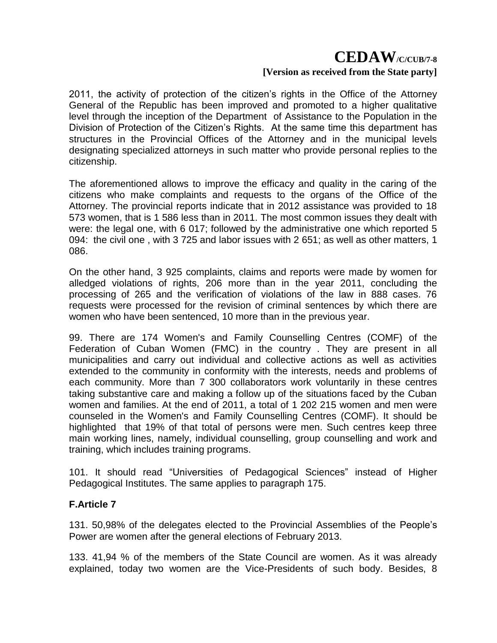2011, the activity of protection of the citizen's rights in the Office of the Attorney General of the Republic has been improved and promoted to a higher qualitative level through the inception of the Department of Assistance to the Population in the Division of Protection of the Citizen's Rights. At the same time this department has structures in the Provincial Offices of the Attorney and in the municipal levels designating specialized attorneys in such matter who provide personal replies to the citizenship.

The aforementioned allows to improve the efficacy and quality in the caring of the citizens who make complaints and requests to the organs of the Office of the Attorney. The provincial reports indicate that in 2012 assistance was provided to 18 573 women, that is 1 586 less than in 2011. The most common issues they dealt with were: the legal one, with 6 017; followed by the administrative one which reported 5 094: the civil one , with 3 725 and labor issues with 2 651; as well as other matters, 1 086.

On the other hand, 3 925 complaints, claims and reports were made by women for alledged violations of rights, 206 more than in the year 2011, concluding the processing of 265 and the verification of violations of the law in 888 cases. 76 requests were processed for the revision of criminal sentences by which there are women who have been sentenced, 10 more than in the previous year.

99. There are 174 Women's and Family Counselling Centres (COMF) of the Federation of Cuban Women (FMC) in the country . They are present in all municipalities and carry out individual and collective actions as well as activities extended to the community in conformity with the interests, needs and problems of each community. More than 7 300 collaborators work voluntarily in these centres taking substantive care and making a follow up of the situations faced by the Cuban women and families. At the end of 2011, a total of 1 202 215 women and men were counseled in the Women's and Family Counselling Centres (COMF). It should be highlighted that 19% of that total of persons were men. Such centres keep three main working lines, namely, individual counselling, group counselling and work and training, which includes training programs.

101. It should read "Universities of Pedagogical Sciences" instead of Higher Pedagogical Institutes. The same applies to paragraph 175.

### **F.Article 7**

131. 50,98% of the delegates elected to the Provincial Assemblies of the People's Power are women after the general elections of February 2013.

133. 41,94 % of the members of the State Council are women. As it was already explained, today two women are the Vice-Presidents of such body. Besides, 8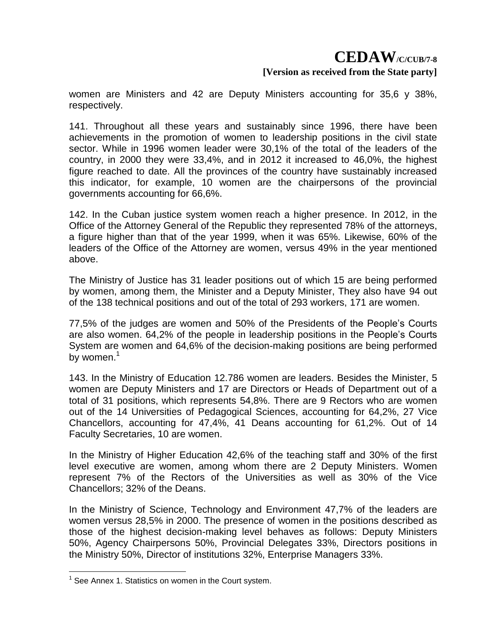women are Ministers and 42 are Deputy Ministers accounting for 35,6 y 38%, respectively.

141. Throughout all these years and sustainably since 1996, there have been achievements in the promotion of women to leadership positions in the civil state sector. While in 1996 women leader were 30,1% of the total of the leaders of the country, in 2000 they were 33,4%, and in 2012 it increased to 46,0%, the highest figure reached to date. All the provinces of the country have sustainably increased this indicator, for example, 10 women are the chairpersons of the provincial governments accounting for 66,6%.

142. In the Cuban justice system women reach a higher presence. In 2012, in the Office of the Attorney General of the Republic they represented 78% of the attorneys, a figure higher than that of the year 1999, when it was 65%. Likewise, 60% of the leaders of the Office of the Attorney are women, versus 49% in the year mentioned above.

The Ministry of Justice has 31 leader positions out of which 15 are being performed by women, among them, the Minister and a Deputy Minister, They also have 94 out of the 138 technical positions and out of the total of 293 workers, 171 are women.

77,5% of the judges are women and 50% of the Presidents of the People's Courts are also women. 64,2% of the people in leadership positions in the People's Courts System are women and 64,6% of the decision-making positions are being performed by women. $1$ 

143. In the Ministry of Education 12.786 women are leaders. Besides the Minister, 5 women are Deputy Ministers and 17 are Directors or Heads of Department out of a total of 31 positions, which represents 54,8%. There are 9 Rectors who are women out of the 14 Universities of Pedagogical Sciences, accounting for 64,2%, 27 Vice Chancellors, accounting for 47,4%, 41 Deans accounting for 61,2%. Out of 14 Faculty Secretaries, 10 are women.

In the Ministry of Higher Education 42,6% of the teaching staff and 30% of the first level executive are women, among whom there are 2 Deputy Ministers. Women represent 7% of the Rectors of the Universities as well as 30% of the Vice Chancellors; 32% of the Deans.

In the Ministry of Science, Technology and Environment 47,7% of the leaders are women versus 28,5% in 2000. The presence of women in the positions described as those of the highest decision-making level behaves as follows: Deputy Ministers 50%, Agency Chairpersons 50%, Provincial Delegates 33%, Directors positions in the Ministry 50%, Director of institutions 32%, Enterprise Managers 33%.

<u>.</u>

<sup>&</sup>lt;sup>1</sup> See Annex 1. Statistics on women in the Court system.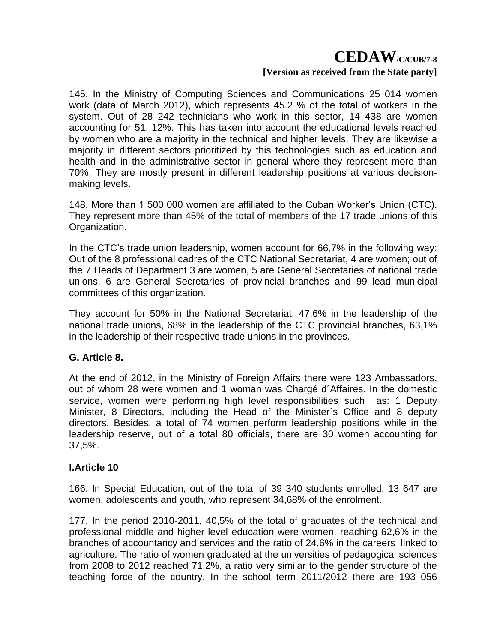145. In the Ministry of Computing Sciences and Communications 25 014 women work (data of March 2012), which represents 45.2 % of the total of workers in the system. Out of 28 242 technicians who work in this sector, 14 438 are women accounting for 51, 12%. This has taken into account the educational levels reached by women who are a majority in the technical and higher levels. They are likewise a majority in different sectors prioritized by this technologies such as education and health and in the administrative sector in general where they represent more than 70%. They are mostly present in different leadership positions at various decisionmaking levels.

148. More than 1 500 000 women are affiliated to the Cuban Worker's Union (CTC). They represent more than 45% of the total of members of the 17 trade unions of this Organization.

In the CTC's trade union leadership, women account for 66,7% in the following way: Out of the 8 professional cadres of the CTC National Secretariat, 4 are women; out of the 7 Heads of Department 3 are women, 5 are General Secretaries of national trade unions, 6 are General Secretaries of provincial branches and 99 lead municipal committees of this organization.

They account for 50% in the National Secretariat; 47,6% in the leadership of the national trade unions, 68% in the leadership of the CTC provincial branches, 63,1% in the leadership of their respective trade unions in the provinces.

### **G. Article 8.**

At the end of 2012, in the Ministry of Foreign Affairs there were 123 Ambassadors, out of whom 28 were women and 1 woman was Chargé d´Affaires. In the domestic service, women were performing high level responsibilities such as: 1 Deputy Minister, 8 Directors, including the Head of the Minister´s Office and 8 deputy directors. Besides, a total of 74 women perform leadership positions while in the leadership reserve, out of a total 80 officials, there are 30 women accounting for 37,5%.

## **I.Article 10**

166. In Special Education, out of the total of 39 340 students enrolled, 13 647 are women, adolescents and youth, who represent 34,68% of the enrolment.

177. In the period 2010-2011, 40,5% of the total of graduates of the technical and professional middle and higher level education were women, reaching 62,6% in the branches of accountancy and services and the ratio of 24,6% in the careers linked to agriculture. The ratio of women graduated at the universities of pedagogical sciences from 2008 to 2012 reached 71,2%, a ratio very similar to the gender structure of the teaching force of the country. In the school term 2011/2012 there are 193 056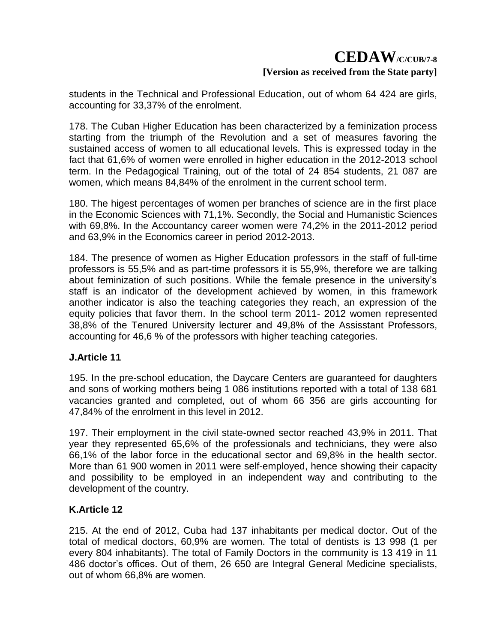students in the Technical and Professional Education, out of whom 64 424 are girls, accounting for 33,37% of the enrolment.

178. The Cuban Higher Education has been characterized by a feminization process starting from the triumph of the Revolution and a set of measures favoring the sustained access of women to all educational levels. This is expressed today in the fact that 61,6% of women were enrolled in higher education in the 2012-2013 school term. In the Pedagogical Training, out of the total of 24 854 students, 21 087 are women, which means 84,84% of the enrolment in the current school term.

180. The higest percentages of women per branches of science are in the first place in the Economic Sciences with 71,1%. Secondly, the Social and Humanistic Sciences with 69,8%. In the Accountancy career women were 74,2% in the 2011-2012 period and 63,9% in the Economics career in period 2012-2013.

184. The presence of women as Higher Education professors in the staff of full-time professors is 55,5% and as part-time professors it is 55,9%, therefore we are talking about feminization of such positions. While the female presence in the university's staff is an indicator of the development achieved by women, in this framework another indicator is also the teaching categories they reach, an expression of the equity policies that favor them. In the school term 2011- 2012 women represented 38,8% of the Tenured University lecturer and 49,8% of the Assisstant Professors, accounting for 46,6 % of the professors with higher teaching categories.

### **J.Article 11**

195. In the pre-school education, the Daycare Centers are guaranteed for daughters and sons of working mothers being 1 086 institutions reported with a total of 138 681 vacancies granted and completed, out of whom 66 356 are girls accounting for 47,84% of the enrolment in this level in 2012.

197. Their employment in the civil state-owned sector reached 43,9% in 2011. That year they represented 65,6% of the professionals and technicians, they were also 66,1% of the labor force in the educational sector and 69,8% in the health sector. More than 61 900 women in 2011 were self-employed, hence showing their capacity and possibility to be employed in an independent way and contributing to the development of the country.

## **K.Article 12**

215. At the end of 2012, Cuba had 137 inhabitants per medical doctor. Out of the total of medical doctors, 60,9% are women. The total of dentists is 13 998 (1 per every 804 inhabitants). The total of Family Doctors in the community is 13 419 in 11 486 doctor's offices. Out of them, 26 650 are Integral General Medicine specialists, out of whom 66,8% are women.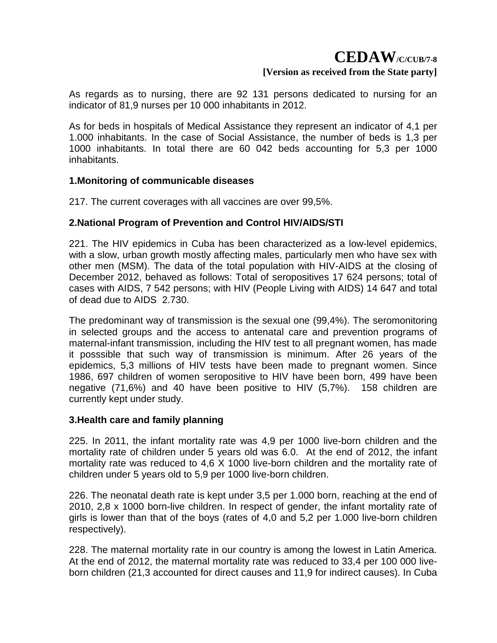As regards as to nursing, there are 92 131 persons dedicated to nursing for an indicator of 81,9 nurses per 10 000 inhabitants in 2012.

As for beds in hospitals of Medical Assistance they represent an indicator of 4,1 per 1.000 inhabitants. In the case of Social Assistance, the number of beds is 1,3 per 1000 inhabitants. In total there are 60 042 beds accounting for 5,3 per 1000 inhabitants.

### **1.Monitoring of communicable diseases**

217. The current coverages with all vaccines are over 99,5%.

### **2.National Program of Prevention and Control HIV/AIDS/STI**

221. The HIV epidemics in Cuba has been characterized as a low-level epidemics, with a slow, urban growth mostly affecting males, particularly men who have sex with other men (MSM). The data of the total population with HIV-AIDS at the closing of December 2012, behaved as follows: Total of seropositives 17 624 persons; total of cases with AIDS, 7 542 persons; with HIV (People Living with AIDS) 14 647 and total of dead due to AIDS 2.730.

The predominant way of transmission is the sexual one (99,4%). The seromonitoring in selected groups and the access to antenatal care and prevention programs of maternal-infant transmission, including the HIV test to all pregnant women, has made it posssible that such way of transmission is minimum. After 26 years of the epidemics, 5,3 millions of HIV tests have been made to pregnant women. Since 1986, 697 children of women seropositive to HIV have been born, 499 have been negative (71,6%) and 40 have been positive to HIV (5,7%). 158 children are currently kept under study.

### **3.Health care and family planning**

225. In 2011, the infant mortality rate was 4,9 per 1000 live-born children and the mortality rate of children under 5 years old was 6.0. At the end of 2012, the infant mortality rate was reduced to 4,6 X 1000 live-born children and the mortality rate of children under 5 years old to 5,9 per 1000 live-born children.

226. The neonatal death rate is kept under 3,5 per 1.000 born, reaching at the end of 2010, 2,8 x 1000 born-live children. In respect of gender, the infant mortality rate of girls is lower than that of the boys (rates of 4,0 and 5,2 per 1.000 live-born children respectively).

228. The maternal mortality rate in our country is among the lowest in Latin America. At the end of 2012, the maternal mortality rate was reduced to 33,4 per 100 000 liveborn children (21,3 accounted for direct causes and 11,9 for indirect causes). In Cuba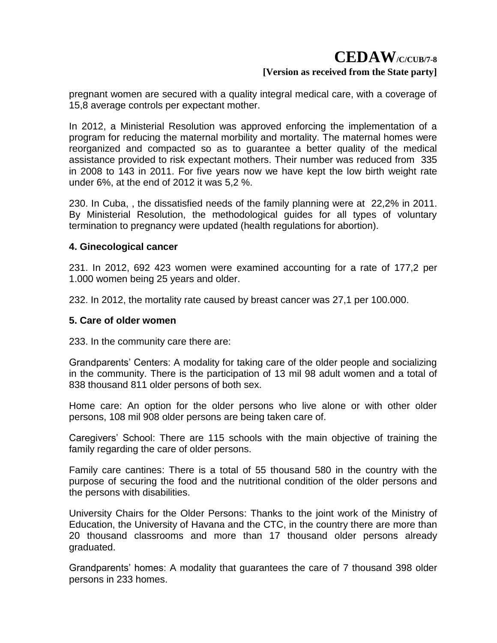pregnant women are secured with a quality integral medical care, with a coverage of 15,8 average controls per expectant mother.

In 2012, a Ministerial Resolution was approved enforcing the implementation of a program for reducing the maternal morbility and mortality. The maternal homes were reorganized and compacted so as to guarantee a better quality of the medical assistance provided to risk expectant mothers. Their number was reduced from 335 in 2008 to 143 in 2011. For five years now we have kept the low birth weight rate under 6%, at the end of 2012 it was 5,2 %.

230. In Cuba, , the dissatisfied needs of the family planning were at 22,2% in 2011. By Ministerial Resolution, the methodological guides for all types of voluntary termination to pregnancy were updated (health regulations for abortion).

#### **4. Ginecological cancer**

231. In 2012, 692 423 women were examined accounting for a rate of 177,2 per 1.000 women being 25 years and older.

232. In 2012, the mortality rate caused by breast cancer was 27,1 per 100.000.

#### **5. Care of older women**

233. In the community care there are:

Grandparents' Centers: A modality for taking care of the older people and socializing in the community. There is the participation of 13 mil 98 adult women and a total of 838 thousand 811 older persons of both sex.

Home care: An option for the older persons who live alone or with other older persons, 108 mil 908 older persons are being taken care of.

Caregivers' School: There are 115 schools with the main objective of training the family regarding the care of older persons.

Family care cantines: There is a total of 55 thousand 580 in the country with the purpose of securing the food and the nutritional condition of the older persons and the persons with disabilities.

University Chairs for the Older Persons: Thanks to the joint work of the Ministry of Education, the University of Havana and the CTC, in the country there are more than 20 thousand classrooms and more than 17 thousand older persons already graduated.

Grandparents' homes: A modality that guarantees the care of 7 thousand 398 older persons in 233 homes.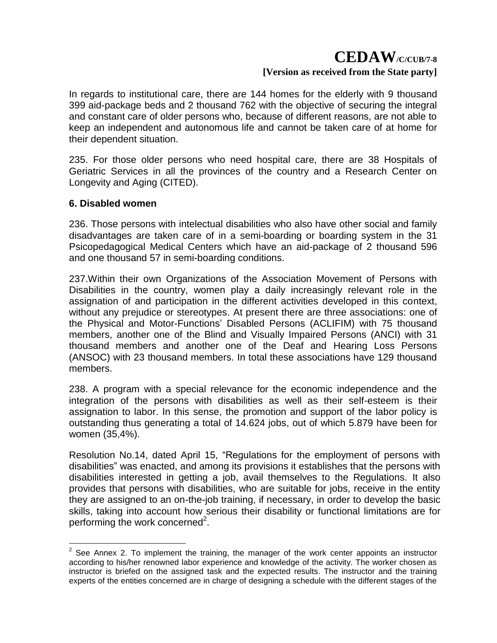In regards to institutional care, there are 144 homes for the elderly with 9 thousand 399 aid-package beds and 2 thousand 762 with the objective of securing the integral and constant care of older persons who, because of different reasons, are not able to keep an independent and autonomous life and cannot be taken care of at home for their dependent situation.

235. For those older persons who need hospital care, there are 38 Hospitals of Geriatric Services in all the provinces of the country and a Research Center on Longevity and Aging (CITED).

#### **6. Disabled women**

236. Those persons with intelectual disabilities who also have other social and family disadvantages are taken care of in a semi-boarding or boarding system in the 31 Psicopedagogical Medical Centers which have an aid-package of 2 thousand 596 and one thousand 57 in semi-boarding conditions.

237.Within their own Organizations of the Association Movement of Persons with Disabilities in the country, women play a daily increasingly relevant role in the assignation of and participation in the different activities developed in this context, without any prejudice or stereotypes. At present there are three associations: one of the Physical and Motor-Functions' Disabled Persons (ACLIFIM) with 75 thousand members, another one of the Blind and Visually Impaired Persons (ANCI) with 31 thousand members and another one of the Deaf and Hearing Loss Persons (ANSOC) with 23 thousand members. In total these associations have 129 thousand members.

238. A program with a special relevance for the economic independence and the integration of the persons with disabilities as well as their self-esteem is their assignation to labor. In this sense, the promotion and support of the labor policy is outstanding thus generating a total of 14.624 jobs, out of which 5.879 have been for women (35,4%).

Resolution No.14, dated April 15, "Regulations for the employment of persons with disabilities" was enacted, and among its provisions it establishes that the persons with disabilities interested in getting a job, avail themselves to the Regulations. It also provides that persons with disabilities, who are suitable for jobs, receive in the entity they are assigned to an on-the-job training, if necessary, in order to develop the basic skills, taking into account how serious their disability or functional limitations are for performing the work concerned<sup>2</sup>.

<sup>&</sup>lt;u>.</u>  $2$  See Annex 2. To implement the training, the manager of the work center appoints an instructor according to his/her renowned labor experience and knowledge of the activity. The worker chosen as instructor is briefed on the assigned task and the expected results. The instructor and the training experts of the entities concerned are in charge of designing a schedule with the different stages of the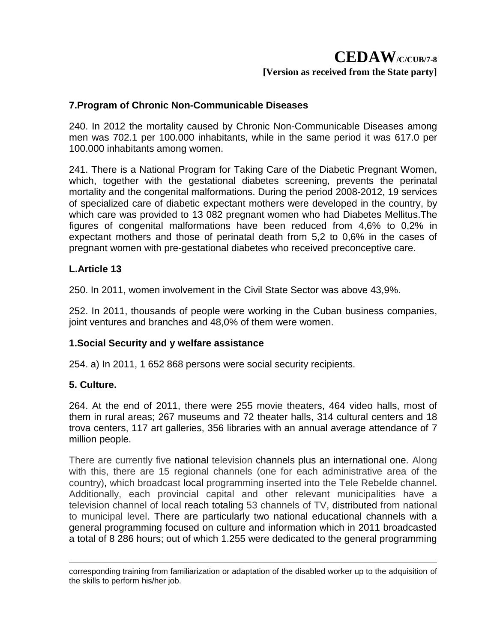#### **7.Program of Chronic Non-Communicable Diseases**

240. In 2012 the mortality caused by Chronic Non-Communicable Diseases among men was 702.1 per 100.000 inhabitants, while in the same period it was 617.0 per 100.000 inhabitants among women.

241. There is a National Program for Taking Care of the Diabetic Pregnant Women, which, together with the gestational diabetes screening, prevents the perinatal mortality and the congenital malformations. During the period 2008-2012, 19 services of specialized care of diabetic expectant mothers were developed in the country, by which care was provided to 13 082 pregnant women who had Diabetes Mellitus.The figures of congenital malformations have been reduced from 4,6% to 0,2% in expectant mothers and those of perinatal death from 5,2 to 0,6% in the cases of pregnant women with pre-gestational diabetes who received preconceptive care.

#### **L.Article 13**

250. In 2011, women involvement in the Civil State Sector was above 43,9%.

252. In 2011, thousands of people were working in the Cuban business companies, joint ventures and branches and 48,0% of them were women.

### **1.Social Security and y welfare assistance**

254. a) In 2011, 1 652 868 persons were social security recipients.

#### **5. Culture.**

<u>.</u>

264. At the end of 2011, there were 255 movie theaters, 464 video halls, most of them in rural areas; 267 museums and 72 theater halls, 314 cultural centers and 18 trova centers, 117 art galleries, 356 libraries with an annual average attendance of 7 million people.

There are currently five national television channels plus an international one. Along with this, there are 15 regional channels (one for each administrative area of the country), which broadcast local programming inserted into the Tele Rebelde channel. Additionally, each provincial capital and other relevant municipalities have a television channel of local reach totaling 53 channels of TV, distributed from national to municipal level. There are particularly two national educational channels with a general programming focused on culture and information which in 2011 broadcasted a total of 8 286 hours; out of which 1.255 were dedicated to the general programming

corresponding training from familiarization or adaptation of the disabled worker up to the adquisition of the skills to perform his/her job.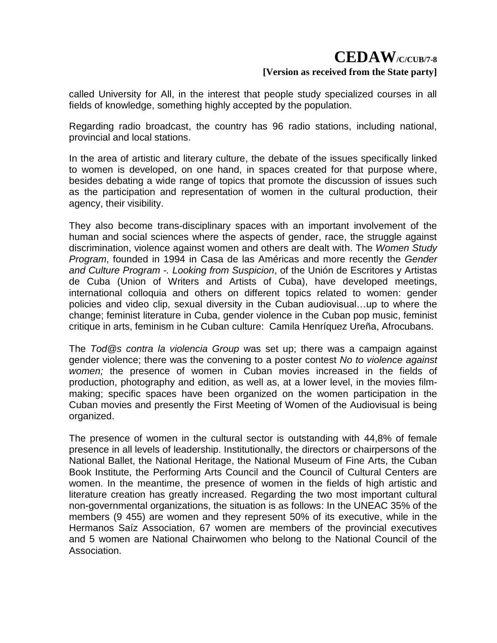called University for All, in the interest that people study specialized courses in all fields of knowledge, something highly accepted by the population.

Regarding radio broadcast, the country has 96 radio stations, including national, provincial and local stations.

In the area of artistic and literary culture, the debate of the issues specifically linked to women is developed, on one hand, in spaces created for that purpose where, besides debating a wide range of topics that promote the discussion of issues such as the participation and representation of women in the cultural production, their agency, their visibility.

They also become trans-disciplinary spaces with an important involvement of the human and social sciences where the aspects of gender, race, the struggle against discrimination, violence against women and others are dealt with. The *Women Study Program*, founded in 1994 in Casa de las Américas and more recently the *Gender and Culture Program -. Looking from Suspicion*, of the Unión de Escritores y Artistas de Cuba (Union of Writers and Artists of Cuba), have developed meetings, international colloquia and others on different topics related to women: gender policies and video clip, sexual diversity in the Cuban audiovisual…up to where the change; feminist literature in Cuba, gender violence in the Cuban pop music, feminist critique in arts, feminism in he Cuban culture: Camila Henríquez Ureña, Afrocubans.

The *Tod@s contra la violencia Group* was set up; there was a campaign against gender violence; there was the convening to a poster contest *No to violence against women;* the presence of women in Cuban movies increased in the fields of production, photography and edition, as well as, at a lower level, in the movies filmmaking; specific spaces have been organized on the women participation in the Cuban movies and presently the First Meeting of Women of the Audiovisual is being organized.

The presence of women in the cultural sector is outstanding with 44,8% of female presence in all levels of leadership. Institutionally, the directors or chairpersons of the National Ballet, the National Heritage, the National Museum of Fine Arts, the Cuban Book Institute, the Performing Arts Council and the Council of Cultural Centers are women. In the meantime, the presence of women in the fields of high artistic and literature creation has greatly increased. Regarding the two most important cultural non-governmental organizations, the situation is as follows: In the UNEAC 35% of the members (9 455) are women and they represent 50% of its executive, while in the Hermanos Saíz Association, 67 women are members of the provincial executives and 5 women are National Chairwomen who belong to the National Council of the Association.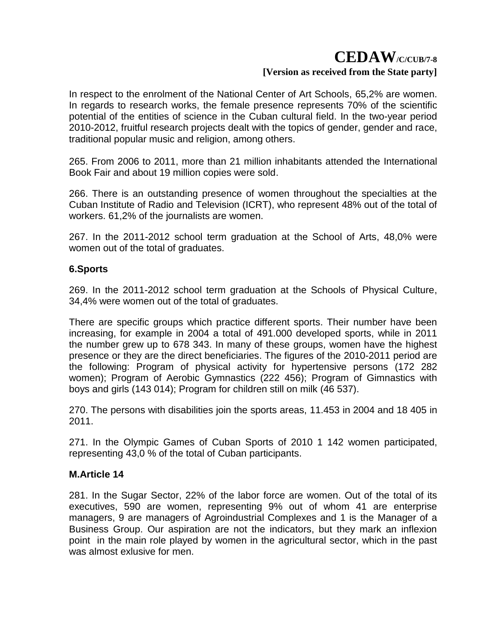In respect to the enrolment of the National Center of Art Schools, 65,2% are women. In regards to research works, the female presence represents 70% of the scientific potential of the entities of science in the Cuban cultural field. In the two-year period 2010-2012, fruitful research projects dealt with the topics of gender, gender and race, traditional popular music and religion, among others.

265. From 2006 to 2011, more than 21 million inhabitants attended the International Book Fair and about 19 million copies were sold.

266. There is an outstanding presence of women throughout the specialties at the Cuban Institute of Radio and Television (ICRT), who represent 48% out of the total of workers. 61,2% of the journalists are women.

267. In the 2011-2012 school term graduation at the School of Arts, 48,0% were women out of the total of graduates.

### **6.Sports**

269. In the 2011-2012 school term graduation at the Schools of Physical Culture, 34,4% were women out of the total of graduates.

There are specific groups which practice different sports. Their number have been increasing, for example in 2004 a total of 491.000 developed sports, while in 2011 the number grew up to 678 343. In many of these groups, women have the highest presence or they are the direct beneficiaries. The figures of the 2010-2011 period are the following: Program of physical activity for hypertensive persons (172 282 women); Program of Aerobic Gymnastics (222 456); Program of Gimnastics with boys and girls (143 014); Program for children still on milk (46 537).

270. The persons with disabilities join the sports areas, 11.453 in 2004 and 18 405 in 2011.

271. In the Olympic Games of Cuban Sports of 2010 1 142 women participated, representing 43,0 % of the total of Cuban participants.

### **M.Article 14**

281. In the Sugar Sector, 22% of the labor force are women. Out of the total of its executives, 590 are women, representing 9% out of whom 41 are enterprise managers, 9 are managers of Agroindustrial Complexes and 1 is the Manager of a Business Group. Our aspiration are not the indicators, but they mark an inflexion point in the main role played by women in the agricultural sector, which in the past was almost exlusive for men.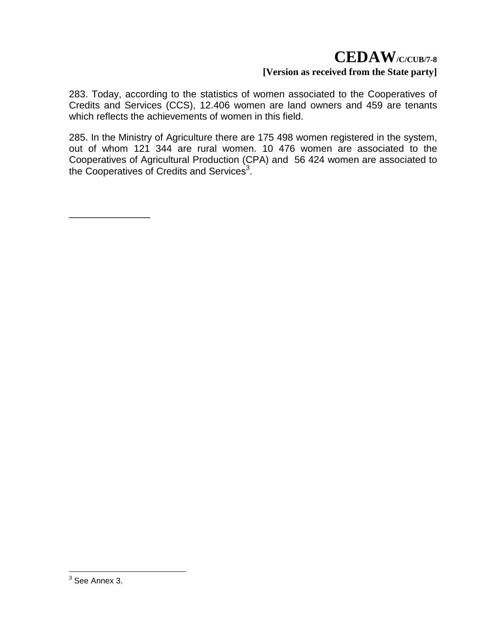283. Today, according to the statistics of women associated to the Cooperatives of Credits and Services (CCS), 12.406 women are land owners and 459 are tenants which reflects the achievements of women in this field.

285. In the Ministry of Agriculture there are 175 498 women registered in the system, out of whom 121 344 are rural women. 10 476 women are associated to the Cooperatives of Agricultural Production (CPA) and 56 424 women are associated to the Cooperatives of Credits and Services<sup>3</sup>.

\_\_\_\_\_\_\_\_\_\_\_\_\_\_\_

 3 See Annex 3.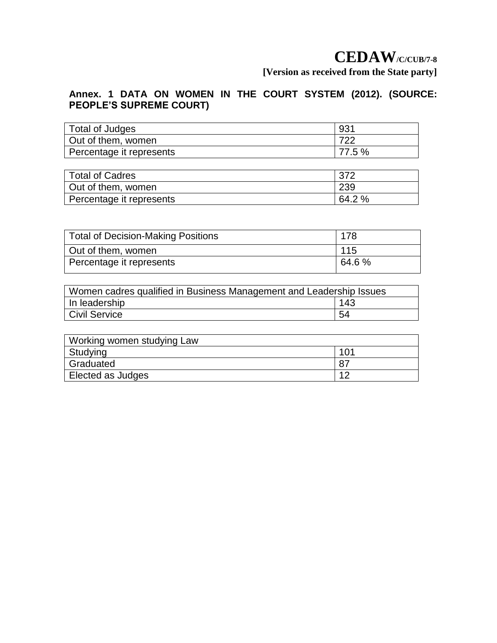## **Annex. 1 DATA ON WOMEN IN THE COURT SYSTEM (2012). (SOURCE: PEOPLE'S SUPREME COURT)**

| Total of Judges          | 931    |  |  |
|--------------------------|--------|--|--|
| Out of them, women       | 722    |  |  |
| Percentage it represents | 77.5 % |  |  |

| <b>Total of Cadres</b>   | 372    |  |  |
|--------------------------|--------|--|--|
| Out of them, women       | 239    |  |  |
| Percentage it represents | 64.2 % |  |  |

| <b>Total of Decision-Making Positions</b> | 178    |  |  |  |
|-------------------------------------------|--------|--|--|--|
| Out of them, women                        | 115    |  |  |  |
| Percentage it represents                  | 64.6 % |  |  |  |

| Women cadres qualified in Business Management and Leadership Issues |     |  |  |  |  |  |
|---------------------------------------------------------------------|-----|--|--|--|--|--|
| In leadership                                                       | 143 |  |  |  |  |  |
| Civil Service                                                       | 54  |  |  |  |  |  |

| Working women studying Law |     |  |  |  |  |  |  |
|----------------------------|-----|--|--|--|--|--|--|
| Studying                   | 101 |  |  |  |  |  |  |
| Graduated                  |     |  |  |  |  |  |  |
| Elected as Judges          | 10  |  |  |  |  |  |  |